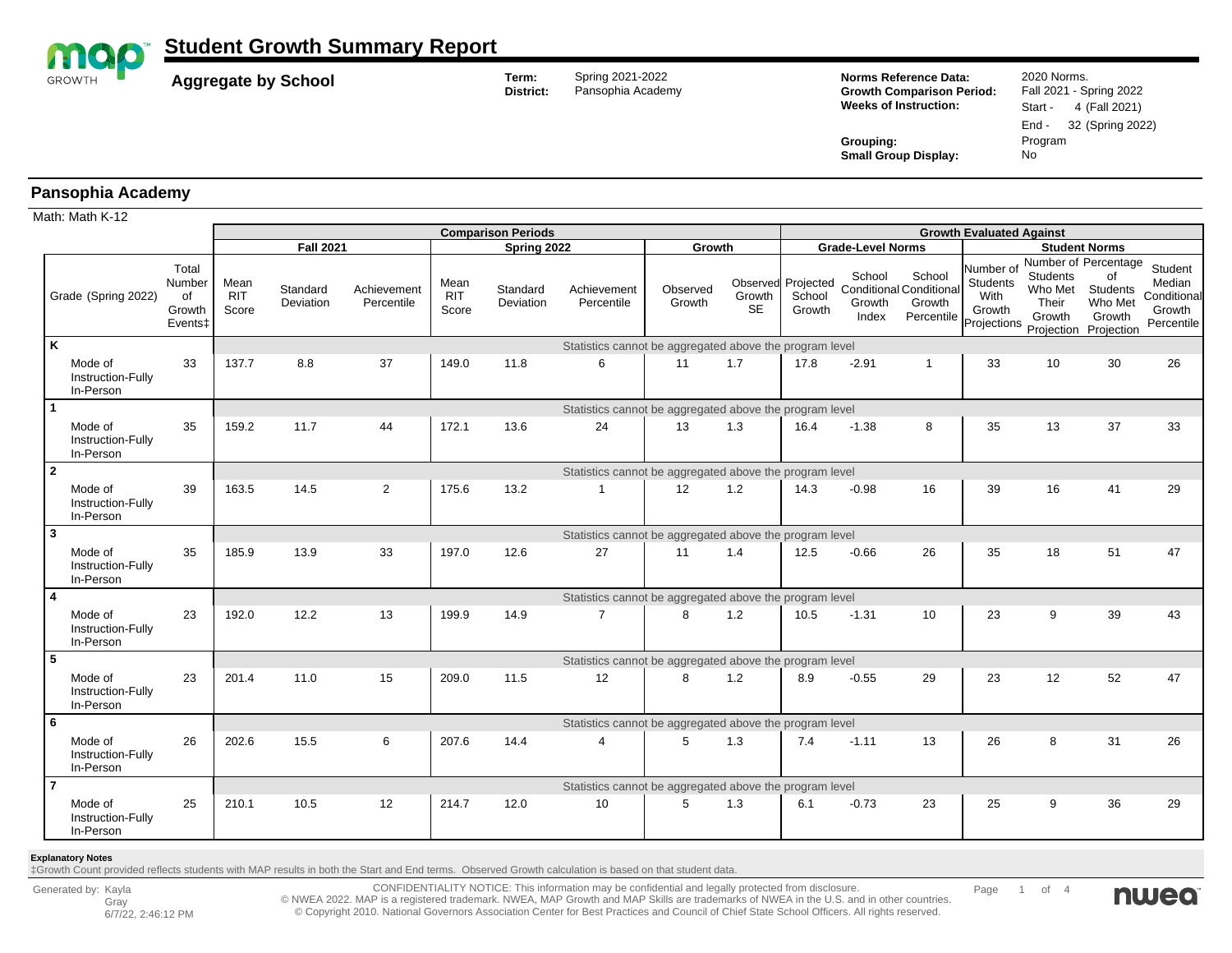

**Aggregate by School Term:** Spring 2021-2022<br>District: Pansophia Academ

Pansophia Academy

**Norms Reference Data:** 2020 Norms. **Growth Comparison Period:** Fall 2021 - Spring 2022 **Weeks of Instruction:** Start - 4 (Fall 2021)

**Small Group Display:** 

End - 32 (Spring 2022) **Grouping:** Program<br> **Small Group Display:** No

#### **Pansophia Academy**

|              | Math: Math K-12                           |                                            |                                                         |                       |                           |                             |                           |                                                         |                    |                     |                                        |                           |                                                                  |                                                               |                                                                       |                                                                     |                                                          |  |
|--------------|-------------------------------------------|--------------------------------------------|---------------------------------------------------------|-----------------------|---------------------------|-----------------------------|---------------------------|---------------------------------------------------------|--------------------|---------------------|----------------------------------------|---------------------------|------------------------------------------------------------------|---------------------------------------------------------------|-----------------------------------------------------------------------|---------------------------------------------------------------------|----------------------------------------------------------|--|
|              |                                           |                                            |                                                         |                       |                           |                             | <b>Comparison Periods</b> |                                                         |                    |                     |                                        |                           |                                                                  | <b>Growth Evaluated Against</b>                               |                                                                       |                                                                     |                                                          |  |
|              |                                           |                                            | <b>Fall 2021</b>                                        |                       |                           |                             | Spring 2022               |                                                         | Growth             |                     | <b>Grade-Level Norms</b>               |                           |                                                                  | <b>Student Norms</b>                                          |                                                                       |                                                                     |                                                          |  |
|              | Grade (Spring 2022)                       | Total<br>Number<br>of<br>Growth<br>Events‡ | Mean<br><b>RIT</b><br>Score                             | Standard<br>Deviation | Achievement<br>Percentile | Mean<br><b>RIT</b><br>Score | Standard<br>Deviation     | Achievement<br>Percentile                               | Observed<br>Growth | Growth<br><b>SE</b> | Observed Projected<br>School<br>Growth | School<br>Growth<br>Index | School<br><b>Conditional Conditional</b><br>Growth<br>Percentile | Number of<br><b>Students</b><br>With<br>Growth<br>Projections | Number of Percentage<br><b>Students</b><br>Who Met<br>Their<br>Growth | of<br><b>Students</b><br>Who Met<br>Growth<br>Projection Projection | Student<br>Median<br>Conditional<br>Growth<br>Percentile |  |
|              | K                                         |                                            |                                                         |                       |                           |                             |                           | Statistics cannot be aggregated above the program level |                    |                     |                                        |                           |                                                                  |                                                               |                                                                       |                                                                     |                                                          |  |
|              | Mode of<br>Instruction-Fully<br>In-Person | 33                                         | 137.7                                                   | 8.8                   | 37                        | 149.0                       | 11.8                      | 6                                                       | 11                 | 1.7                 | 17.8                                   | $-2.91$                   | $\mathbf{1}$                                                     | 33                                                            | 10                                                                    | 30                                                                  | 26                                                       |  |
|              |                                           |                                            | Statistics cannot be aggregated above the program level |                       |                           |                             |                           |                                                         |                    |                     |                                        |                           |                                                                  |                                                               |                                                                       |                                                                     |                                                          |  |
|              | Mode of<br>Instruction-Fully<br>In-Person | 35                                         | 159.2                                                   | 11.7                  | 44                        | 172.1                       | 13.6                      | 24                                                      | 13                 | 1.3                 | 16.4                                   | $-1.38$                   | 8                                                                | 35                                                            | 13                                                                    | 37                                                                  | 33                                                       |  |
| $\mathbf{2}$ |                                           |                                            | Statistics cannot be aggregated above the program level |                       |                           |                             |                           |                                                         |                    |                     |                                        |                           |                                                                  |                                                               |                                                                       |                                                                     |                                                          |  |
|              | Mode of<br>Instruction-Fully<br>In-Person | 39                                         | 163.5                                                   | 14.5                  | 2                         | 175.6                       | 13.2                      | -1                                                      | 12                 | 1.2                 | 14.3                                   | $-0.98$                   | 16                                                               | 39                                                            | 16                                                                    | 41                                                                  | 29                                                       |  |
| 3            |                                           |                                            | Statistics cannot be aggregated above the program level |                       |                           |                             |                           |                                                         |                    |                     |                                        |                           |                                                                  |                                                               |                                                                       |                                                                     |                                                          |  |
|              | Mode of<br>Instruction-Fully<br>In-Person | 35                                         | 185.9                                                   | 13.9                  | 33                        | 197.0                       | 12.6                      | 27                                                      | 11                 | 1.4                 | 12.5                                   | $-0.66$                   | 26                                                               | 35                                                            | 18                                                                    | 51                                                                  | 47                                                       |  |
| 4            |                                           |                                            |                                                         |                       |                           |                             |                           | Statistics cannot be aggregated above the program level |                    |                     |                                        |                           |                                                                  |                                                               |                                                                       |                                                                     |                                                          |  |
|              | Mode of<br>Instruction-Fully<br>In-Person | 23                                         | 192.0                                                   | 12.2                  | 13                        | 199.9                       | 14.9                      | $\overline{7}$                                          | 8                  | 1.2                 | 10.5                                   | $-1.31$                   | 10 <sup>1</sup>                                                  | 23                                                            | 9                                                                     | 39                                                                  | 43                                                       |  |
| 5            |                                           |                                            |                                                         |                       |                           |                             |                           | Statistics cannot be aggregated above the program level |                    |                     |                                        |                           |                                                                  |                                                               |                                                                       |                                                                     |                                                          |  |
|              | Mode of<br>Instruction-Fully<br>In-Person | 23                                         | 201.4                                                   | 11.0                  | 15                        | 209.0                       | 11.5                      | 12                                                      | 8                  | 1.2                 | 8.9                                    | $-0.55$                   | 29                                                               | 23                                                            | 12                                                                    | 52                                                                  | 47                                                       |  |
| 6            |                                           |                                            |                                                         |                       |                           |                             |                           | Statistics cannot be aggregated above the program level |                    |                     |                                        |                           |                                                                  |                                                               |                                                                       |                                                                     |                                                          |  |
|              | Mode of<br>Instruction-Fully<br>In-Person | 26                                         | 202.6                                                   | 15.5                  | 6                         | 207.6                       | 14.4                      | $\overline{4}$                                          | 5                  | 1.3                 | 7.4                                    | $-1.11$                   | 13                                                               | 26                                                            | 8                                                                     | 31                                                                  | 26                                                       |  |
|              | $\overline{7}$                            |                                            |                                                         |                       |                           |                             |                           | Statistics cannot be aggregated above the program level |                    |                     |                                        |                           |                                                                  |                                                               |                                                                       |                                                                     |                                                          |  |
|              | Mode of<br>Instruction-Fully<br>In-Person | 25                                         | 210.1                                                   | 10.5                  | 12                        | 214.7                       | 12.0                      | 10                                                      | 5                  | 1.3                 | 6.1                                    | $-0.73$                   | 23                                                               | 25                                                            | 9                                                                     | 36                                                                  | 29                                                       |  |

#### **Explanatory Notes**

‡Growth Count provided reflects students with MAP results in both the Start and End terms. Observed Growth calculation is based on that student data.

CONFIDENTIALITY NOTICE: This information may be confidential and legally protected from disclosure. © NWEA 2022. MAP is a registered trademark. NWEA, MAP Growth and MAP Skills are trademarks of NWEA in the U.S. and in other countries. © Copyright 2010. National Governors Association Center for Best Practices and Council of Chief State School Officers. All rights reserved.

Page 1 of 4

nwea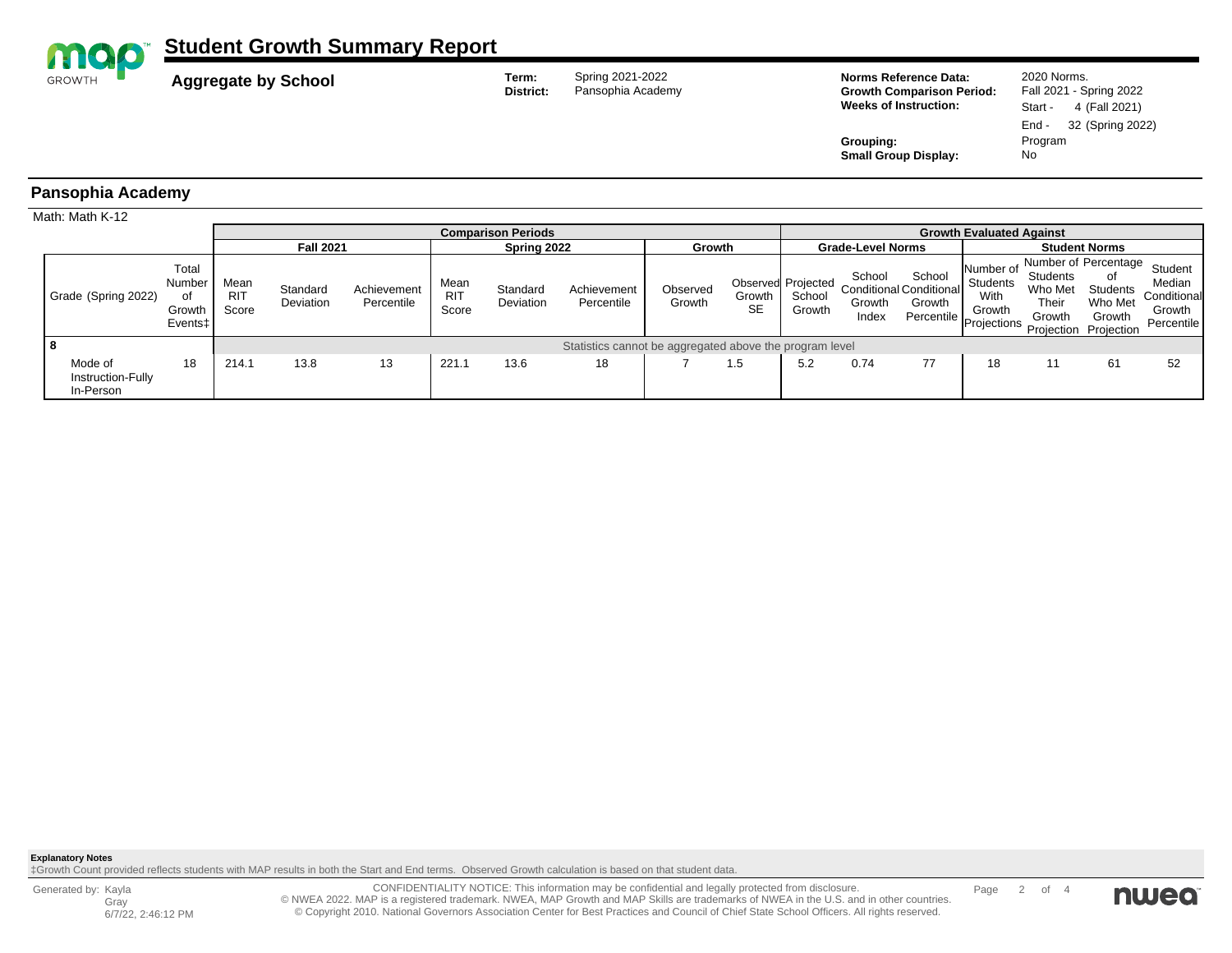

**Aggregate by School Term:** Spring 2021-2022<br>District: Pansophia Academ

Pansophia Academy

**Norms Reference Data:** 2020 Norms. **Growth Comparison Period:** Fall 2021 - Spring 2022 **Weeks of Instruction:** Start - 4 (Fall 2021)

End - 32 (Spring 2022)

**Grouping:** Program<br> **Small Group Display:** No **Small Group Display:** 

### **Pansophia Academy**

| Math: Math K-12                           |                                            |                             |                       |                           |                                 |                                                         |                           |                    |                          |                                        |                           |                                                                              |                                                |                                               |                                                                                      |                                                          |
|-------------------------------------------|--------------------------------------------|-----------------------------|-----------------------|---------------------------|---------------------------------|---------------------------------------------------------|---------------------------|--------------------|--------------------------|----------------------------------------|---------------------------|------------------------------------------------------------------------------|------------------------------------------------|-----------------------------------------------|--------------------------------------------------------------------------------------|----------------------------------------------------------|
|                                           |                                            |                             |                       |                           | <b>Growth Evaluated Against</b> |                                                         |                           |                    |                          |                                        |                           |                                                                              |                                                |                                               |                                                                                      |                                                          |
|                                           |                                            | <b>Fall 2021</b>            |                       | Spring 2022               |                                 |                                                         | Growth                    |                    | <b>Grade-Level Norms</b> |                                        |                           | <b>Student Norms</b>                                                         |                                                |                                               |                                                                                      |                                                          |
| Grade (Spring 2022)                       | Total<br>Number<br>0f<br>Growth<br>Events± | Mean<br><b>RIT</b><br>Score | Standard<br>Deviation | Achievement<br>Percentile | Mean<br><b>RIT</b><br>Score     | Standard<br>Deviation                                   | Achievement<br>Percentile | Observed<br>Growth | Growth<br><b>SE</b>      | Observed Projected<br>School<br>Growth | School<br>Growth<br>Index | School<br><b>Conditional Conditional</b><br>Growth<br>Percentile Projections | Number of<br><b>Students</b><br>With<br>Growth | <b>Students</b><br>Who Met<br>Their<br>Growth | Number of Percentage<br>οf<br>Students<br>Who Met<br>Growth<br>Projection Projection | Student<br>Median<br>Conditional<br>Growth<br>Percentile |
|                                           |                                            |                             |                       |                           |                                 | Statistics cannot be aggregated above the program level |                           |                    |                          |                                        |                           |                                                                              |                                                |                                               |                                                                                      |                                                          |
| Mode of<br>Instruction-Fully<br>In-Person | 18                                         | 214.1                       | 13.8                  | 13                        | 221.1                           | 13.6                                                    | 18                        |                    | 1.5                      | 5.2                                    | 0.74                      | 77                                                                           | 18                                             | 11                                            | 61                                                                                   | 52                                                       |

**Explanatory Notes**

‡Growth Count provided reflects students with MAP results in both the Start and End terms. Observed Growth calculation is based on that student data.

Generated by: Kayla Gray 6/7/22, 2:46:12 PM

CONFIDENTIALITY NOTICE: This information may be confidential and legally protected from disclosure. © NWEA 2022. MAP is a registered trademark. NWEA, MAP Growth and MAP Skills are trademarks of NWEA in the U.S. and in other countries. © Copyright 2010. National Governors Association Center for Best Practices and Council of Chief State School Officers. All rights reserved.

Page 2 of 4

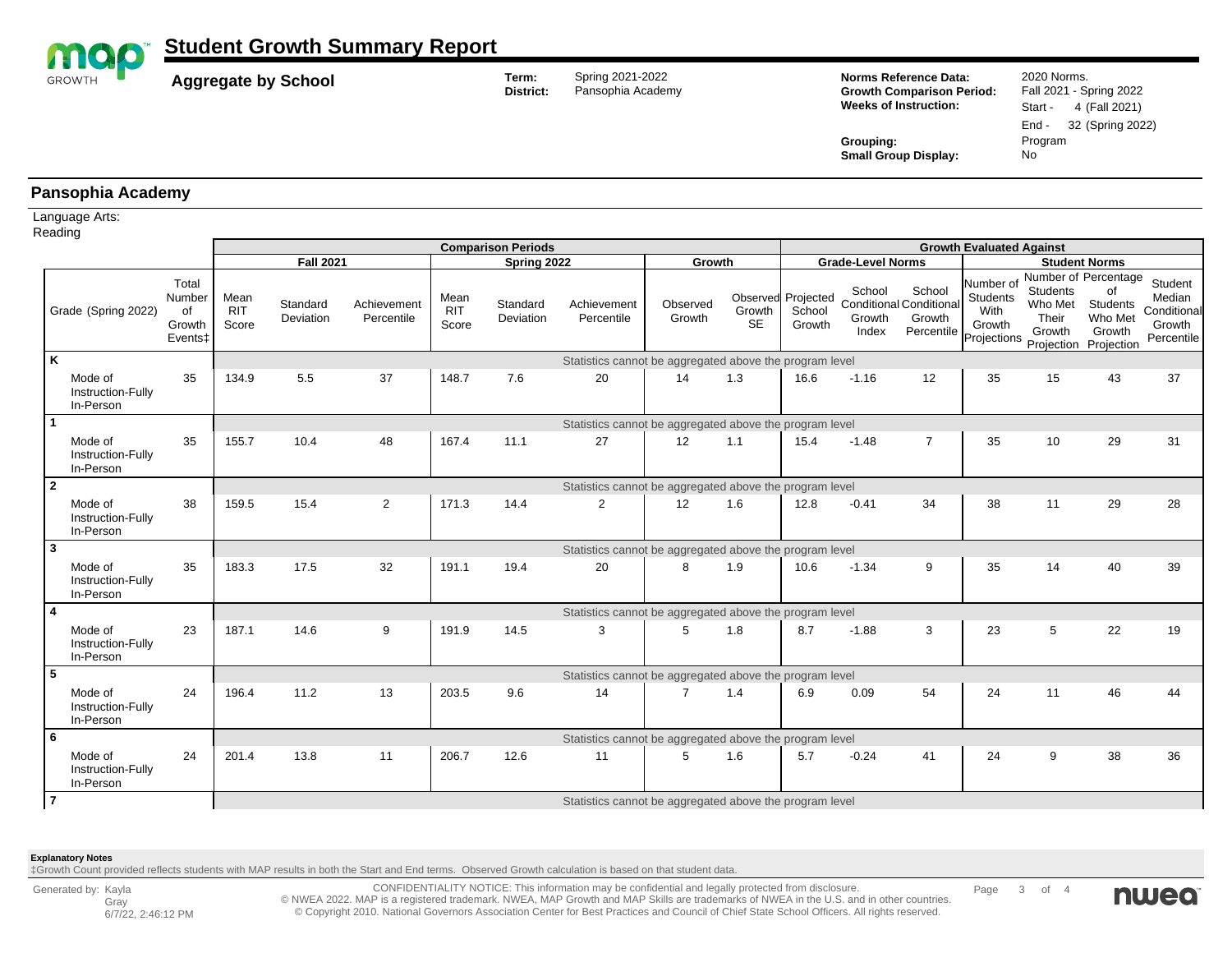

**Aggregate by School Term:** Spring 2021-2022<br>District: Pansophia Academ

Pansophia Academy

**Norms Reference Data:** 2020 Norms. **Growth Comparison Period:** Fall 2021 - Spring 2022 **Weeks of Instruction:** Start - 4 (Fall 2021)

**Small Group Display:** 

End - 32 (Spring 2022) **Grouping:** Program<br> **Small Group Display:** No

#### **Pansophia Academy**

Language Arts:

|                | Reading                                   |                                                        |                                                         |                       |                           |                             |                       |                                                         |                    |                     |                                        |                                 |                                                                  |                                                               |                                               |                                                                                      |                                                          |  |  |  |  |
|----------------|-------------------------------------------|--------------------------------------------------------|---------------------------------------------------------|-----------------------|---------------------------|-----------------------------|-----------------------|---------------------------------------------------------|--------------------|---------------------|----------------------------------------|---------------------------------|------------------------------------------------------------------|---------------------------------------------------------------|-----------------------------------------------|--------------------------------------------------------------------------------------|----------------------------------------------------------|--|--|--|--|
|                |                                           |                                                        |                                                         |                       |                           | <b>Comparison Periods</b>   |                       |                                                         |                    |                     |                                        | <b>Growth Evaluated Against</b> |                                                                  |                                                               |                                               |                                                                                      |                                                          |  |  |  |  |
|                |                                           |                                                        | <b>Fall 2021</b>                                        |                       |                           | Spring 2022                 |                       |                                                         | Growth             |                     |                                        | <b>Grade-Level Norms</b>        |                                                                  | <b>Student Norms</b>                                          |                                               |                                                                                      |                                                          |  |  |  |  |
|                | Grade (Spring 2022)                       | Total<br>Number<br>of<br>Growth<br>Events <sup>+</sup> | Mean<br><b>RIT</b><br>Score                             | Standard<br>Deviation | Achievement<br>Percentile | Mean<br><b>RIT</b><br>Score | Standard<br>Deviation | Achievement<br>Percentile                               | Observed<br>Growth | Growth<br><b>SE</b> | Observed Projected<br>School<br>Growth | School<br>Growth<br>Index       | School<br><b>Conditional Conditional</b><br>Growth<br>Percentile | Number of<br><b>Students</b><br>With<br>Growth<br>Projections | <b>Students</b><br>Who Met<br>Their<br>Growth | Number of Percentage<br>of<br>Students<br>Who Met<br>Growth<br>Projection Projection | Student<br>Median<br>Conditional<br>Growth<br>Percentile |  |  |  |  |
| K              |                                           |                                                        | Statistics cannot be aggregated above the program level |                       |                           |                             |                       |                                                         |                    |                     |                                        |                                 |                                                                  |                                                               |                                               |                                                                                      |                                                          |  |  |  |  |
|                | Mode of<br>Instruction-Fully<br>In-Person | 35                                                     | 134.9                                                   | 5.5                   | 37                        | 148.7                       | 7.6                   | 20                                                      | 14                 | 1.3                 | 16.6                                   | $-1.16$                         | 12                                                               | 35                                                            | 15                                            | 43                                                                                   | 37                                                       |  |  |  |  |
|                |                                           |                                                        |                                                         |                       |                           |                             |                       | Statistics cannot be aggregated above the program level |                    |                     |                                        |                                 |                                                                  |                                                               |                                               |                                                                                      |                                                          |  |  |  |  |
|                | Mode of<br>Instruction-Fully<br>In-Person | 35                                                     | 155.7                                                   | 10.4                  | 48                        | 167.4                       | 11.1                  | 27                                                      | 12                 | 1.1                 | 15.4                                   | $-1.48$                         | $\overline{7}$                                                   | 35                                                            | 10                                            | 29                                                                                   | 31                                                       |  |  |  |  |
| $\mathbf{2}$   |                                           |                                                        | Statistics cannot be aggregated above the program level |                       |                           |                             |                       |                                                         |                    |                     |                                        |                                 |                                                                  |                                                               |                                               |                                                                                      |                                                          |  |  |  |  |
|                | Mode of<br>Instruction-Fully<br>In-Person | 38                                                     | 159.5                                                   | 15.4                  | $\overline{2}$            | 171.3                       | 14.4                  | $\overline{2}$                                          | 12                 | 1.6                 | 12.8                                   | $-0.41$                         | 34                                                               | 38                                                            | 11                                            | 29                                                                                   | 28                                                       |  |  |  |  |
| 3              |                                           |                                                        | Statistics cannot be aggregated above the program level |                       |                           |                             |                       |                                                         |                    |                     |                                        |                                 |                                                                  |                                                               |                                               |                                                                                      |                                                          |  |  |  |  |
|                | Mode of<br>Instruction-Fully<br>In-Person | 35                                                     | 183.3                                                   | 17.5                  | 32                        | 191.1                       | 19.4                  | 20                                                      | 8                  | 1.9                 | 10.6                                   | $-1.34$                         | 9                                                                | 35                                                            | 14                                            | 40                                                                                   | 39                                                       |  |  |  |  |
| 4              |                                           |                                                        |                                                         |                       |                           |                             |                       | Statistics cannot be aggregated above the program level |                    |                     |                                        |                                 |                                                                  |                                                               |                                               |                                                                                      |                                                          |  |  |  |  |
|                | Mode of<br>Instruction-Fully<br>In-Person | 23                                                     | 187.1                                                   | 14.6                  | 9                         | 191.9                       | 14.5                  | 3                                                       | 5                  | 1.8                 | 8.7                                    | $-1.88$                         | 3                                                                | 23                                                            | 5                                             | 22                                                                                   | 19                                                       |  |  |  |  |
| 5              |                                           |                                                        |                                                         |                       |                           |                             |                       | Statistics cannot be aggregated above the program level |                    |                     |                                        |                                 |                                                                  |                                                               |                                               |                                                                                      |                                                          |  |  |  |  |
|                | Mode of<br>Instruction-Fully<br>In-Person | 24                                                     | 196.4                                                   | 11.2                  | 13                        | 203.5                       | 9.6                   | 14                                                      | $\overline{7}$     | 1.4                 | 6.9                                    | 0.09                            | 54                                                               | 24                                                            | 11                                            | 46                                                                                   | 44                                                       |  |  |  |  |
| 6              |                                           |                                                        |                                                         |                       |                           |                             |                       | Statistics cannot be aggregated above the program level |                    |                     |                                        |                                 |                                                                  |                                                               |                                               |                                                                                      |                                                          |  |  |  |  |
|                | Mode of<br>Instruction-Fully<br>In-Person | 24                                                     | 201.4                                                   | 13.8                  | 11                        | 206.7                       | 12.6                  | 11                                                      | 5                  | 1.6                 | 5.7                                    | $-0.24$                         | 41                                                               | 24                                                            | 9                                             | 38                                                                                   | 36                                                       |  |  |  |  |
| $\overline{7}$ |                                           |                                                        |                                                         |                       |                           |                             |                       | Statistics cannot be aggregated above the program level |                    |                     |                                        |                                 |                                                                  |                                                               |                                               |                                                                                      |                                                          |  |  |  |  |

#### **Explanatory Notes**

‡Growth Count provided reflects students with MAP results in both the Start and End terms. Observed Growth calculation is based on that student data.

CONFIDENTIALITY NOTICE: This information may be confidential and legally protected from disclosure. © NWEA 2022. MAP is a registered trademark. NWEA, MAP Growth and MAP Skills are trademarks of NWEA in the U.S. and in other countries. © Copyright 2010. National Governors Association Center for Best Practices and Council of Chief State School Officers. All rights reserved.

Page 3 of 4